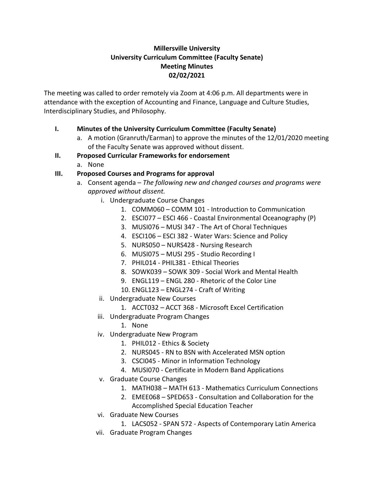## **Millersville University University Curriculum Committee (Faculty Senate) Meeting Minutes 02/02/2021**

The meeting was called to order remotely via Zoom at 4:06 p.m. All departments were in attendance with the exception of Accounting and Finance, Language and Culture Studies, Interdisciplinary Studies, and Philosophy.

# **I. Minutes of the University Curriculum Committee (Faculty Senate)**

a. A motion (Granruth/Earman) to approve the minutes of the 12/01/2020 meeting of the Faculty Senate was approved without dissent.

## **II. Proposed Curricular Frameworks for endorsement**

a. None

# **III. Proposed Courses and Programs for approval**

- a. Consent agenda *The following new and changed courses and programs were approved without dissent.*
	- i. Undergraduate Course Changes
		- 1. COMM060 COMM 101 Introduction to Communication
		- 2. ESCI077 ESCI 466 Coastal Environmental Oceanography (P)
		- 3. MUSI076 MUSI 347 The Art of Choral Techniques
		- 4. ESCI106 ESCI 382 Water Wars: Science and Policy
		- 5. NURS050 NURS428 Nursing Research
		- 6. MUSI075 MUSI 295 Studio Recording I
		- 7. PHIL014 PHIL381 Ethical Theories
		- 8. SOWK039 SOWK 309 Social Work and Mental Health
		- 9. ENGL119 ENGL 280 Rhetoric of the Color Line
		- 10. ENGL123 ENGL274 Craft of Writing
	- ii. Undergraduate New Courses
		- 1. ACCT032 ACCT 368 Microsoft Excel Certification
	- iii. Undergraduate Program Changes
		- 1. None
	- iv. Undergraduate New Program
		- 1. PHIL012 Ethics & Society
		- 2. NURS045 RN to BSN with Accelerated MSN option
		- 3. CSCI045 Minor in Information Technology
		- 4. MUSI070 Certificate in Modern Band Applications
	- v. Graduate Course Changes
		- 1. MATH038 MATH 613 Mathematics Curriculum Connections
		- 2. EMEE068 SPED653 Consultation and Collaboration for the Accomplished Special Education Teacher
	- vi. Graduate New Courses
		- 1. LACS052 SPAN 572 Aspects of Contemporary Latin America
	- vii. Graduate Program Changes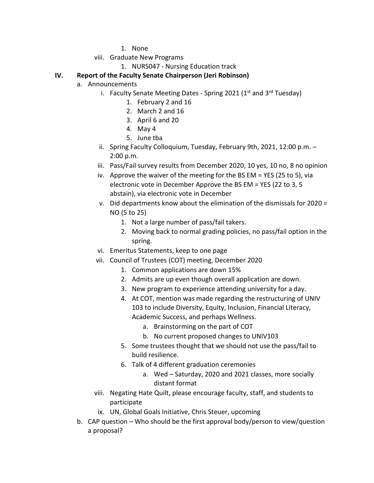- 1. None
- viii. Graduate New Programs
	- 1. NURS047 Nursing Education track

## **IV. Report of the Faculty Senate Chairperson (Jeri Robinson)**

- a. Announcements
	- i. Faculty Senate Meeting Dates Spring 2021 ( $1<sup>st</sup>$  and  $3<sup>rd</sup>$  Tuesday)
		- 1. February 2 and 16
		- 2. March 2 and 16
		- 3. April 6 and 20
		- 4. May 4
		- 5. June tba
	- ii. Spring Faculty Colloquium, Tuesday, February 9th, 2021, 12:00 p.m. 2:00 p.m.
	- iii. Pass/Fail survey results from December 2020, 10 yes, 10 no, 8 no opinion
	- iv. Approve the waiver of the meeting for the BS EM = YES (25 to 5), via electronic vote in December Approve the BS EM = YES (22 to 3, 5 abstain), via electronic vote in December
	- v. Did departments know about the elimination of the dismissals for 2020 = NO (5 to 25)
		- 1. Not a large number of pass/fail takers.
		- 2. Moving back to normal grading policies, no pass/fail option in the spring.
	- vi. Emeritus Statements, keep to one page
	- vii. Council of Trustees (COT) meeting, December 2020
		- 1. Common applications are down 15%
		- 2. Admits are up even though overall application are down.
		- 3. New program to experience attending university for a day.
		- 4. At COT, mention was made regarding the restructuring of UNIV 103 to include Diversity, Equity, Inclusion, Financial Literacy, Academic Success, and perhaps Wellness.
			- a. Brainstorming on the part of COT
			- b. No current proposed changes to UNIV103
		- 5. Some trustees thought that we should not use the pass/fail to build resilience.
		- 6. Talk of 4 different graduation ceremonies
			- a. Wed Saturday, 2020 and 2021 classes, more socially distant format
	- viii. Negating Hate Quilt, please encourage faculty, staff, and students to participate
	- ix. UN, Global Goals Initiative, Chris Steuer, upcoming
- b. CAP question Who should be the first approval body/person to view/question a proposal?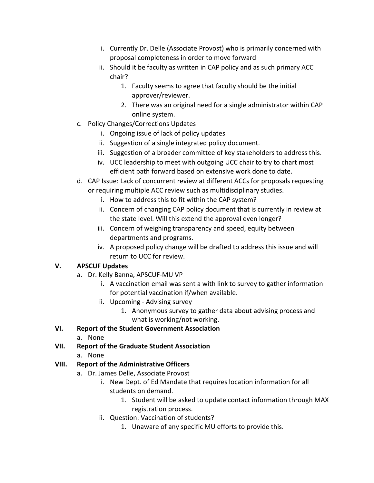- i. Currently Dr. Delle (Associate Provost) who is primarily concerned with proposal completeness in order to move forward
- ii. Should it be faculty as written in CAP policy and as such primary ACC chair?
	- 1. Faculty seems to agree that faculty should be the initial approver/reviewer.
	- 2. There was an original need for a single administrator within CAP online system.
- c. Policy Changes/Corrections Updates
	- i. Ongoing issue of lack of policy updates
	- ii. Suggestion of a single integrated policy document.
	- iii. Suggestion of a broader committee of key stakeholders to address this.
	- iv. UCC leadership to meet with outgoing UCC chair to try to chart most efficient path forward based on extensive work done to date.
- d. CAP Issue: Lack of concurrent review at different ACCs for proposals requesting or requiring multiple ACC review such as multidisciplinary studies.
	- i. How to address this to fit within the CAP system?
	- ii. Concern of changing CAP policy document that is currently in review at the state level. Will this extend the approval even longer?
	- iii. Concern of weighing transparency and speed, equity between departments and programs.
	- iv. A proposed policy change will be drafted to address this issue and will return to UCC for review.

# **V. APSCUF Updates**

- a. Dr. Kelly Banna, APSCUF-MU VP
	- i. A vaccination email was sent a with link to survey to gather information for potential vaccination if/when available.
	- ii. Upcoming Advising survey
		- 1. Anonymous survey to gather data about advising process and what is working/not working.

# **VI. Report of the Student Government Association**

- a. None
- **VII. Report of the Graduate Student Association**
	- a. None

# **VIII. Report of the Administrative Officers**

- a. Dr. James Delle, Associate Provost
	- i. New Dept. of Ed Mandate that requires location information for all students on demand.
		- 1. Student will be asked to update contact information through MAX registration process.
	- ii. Question: Vaccination of students?
		- 1. Unaware of any specific MU efforts to provide this.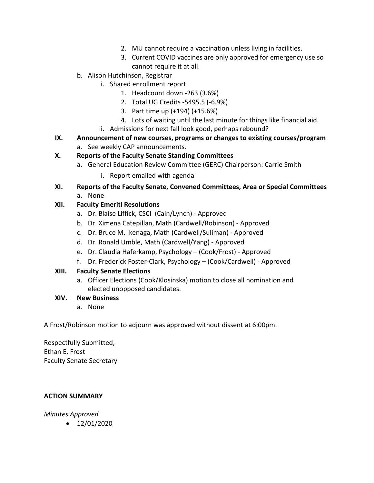- 2. MU cannot require a vaccination unless living in facilities.
- 3. Current COVID vaccines are only approved for emergency use so cannot require it at all.
- b. Alison Hutchinson, Registrar
	- i. Shared enrollment report
		- 1. Headcount down -263 (3.6%)
		- 2. Total UG Credits -5495.5 (-6.9%)
		- 3. Part time up (+194) (+15.6%)
		- 4. Lots of waiting until the last minute for things like financial aid.
	- ii. Admissions for next fall look good, perhaps rebound?
- **IX. Announcement of new courses, programs or changes to existing courses/program**
	- a. See weekly CAP announcements.

## **X. Reports of the Faculty Senate Standing Committees**

- a. General Education Review Committee (GERC) Chairperson: Carrie Smith
	- i. Report emailed with agenda
- **XI. Reports of the Faculty Senate, Convened Committees, Area or Special Committees** a. None

## **XII. Faculty Emeriti Resolutions**

- a. Dr. Blaise Liffick, CSCI (Cain/Lynch) Approved
- b. Dr. Ximena Catepillan, Math (Cardwell/Robinson) Approved
- c. Dr. Bruce M. Ikenaga, Math (Cardwell/Suliman) Approved
- d. Dr. Ronald Umble, Math (Cardwell/Yang) Approved
- e. Dr. Claudia Haferkamp, Psychology (Cook/Frost) Approved
- f. Dr. Frederick Foster-Clark, Psychology (Cook/Cardwell) Approved

### **XIII. Faculty Senate Elections**

a. Officer Elections (Cook/Klosinska) motion to close all nomination and elected unopposed candidates.

### **XIV. New Business**

a. None

A Frost/Robinson motion to adjourn was approved without dissent at 6:00pm.

Respectfully Submitted, Ethan E. Frost Faculty Senate Secretary

### **ACTION SUMMARY**

*Minutes Approved*

 $\bullet$  12/01/2020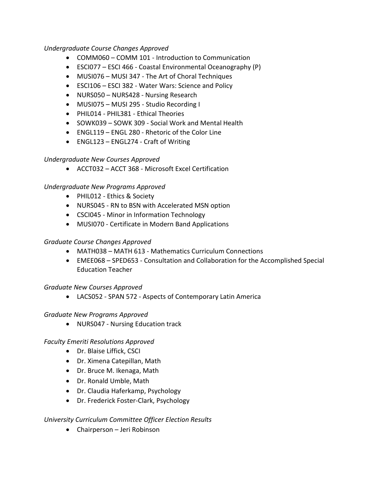#### *Undergraduate Course Changes Approved*

- COMM060 COMM 101 Introduction to Communication
- ESCI077 ESCI 466 Coastal Environmental Oceanography (P)
- MUSI076 MUSI 347 The Art of Choral Techniques
- ESCI106 ESCI 382 Water Wars: Science and Policy
- NURS050 NURS428 Nursing Research
- MUSI075 MUSI 295 Studio Recording I
- PHIL014 PHIL381 Ethical Theories
- SOWK039 SOWK 309 Social Work and Mental Health
- ENGL119 ENGL 280 Rhetoric of the Color Line
- ENGL123 ENGL274 Craft of Writing

### *Undergraduate New Courses Approved*

• ACCT032 – ACCT 368 - Microsoft Excel Certification

### *Undergraduate New Programs Approved*

- PHIL012 Ethics & Society
- NURS045 RN to BSN with Accelerated MSN option
- CSCI045 Minor in Information Technology
- MUSI070 Certificate in Modern Band Applications

### *Graduate Course Changes Approved*

- MATH038 MATH 613 Mathematics Curriculum Connections
- EMEE068 SPED653 Consultation and Collaboration for the Accomplished Special Education Teacher

### *Graduate New Courses Approved*

• LACS052 - SPAN 572 - Aspects of Contemporary Latin America

#### *Graduate New Programs Approved*

• NURS047 - Nursing Education track

### *Faculty Emeriti Resolutions Approved*

- Dr. Blaise Liffick, CSCI
- Dr. Ximena Catepillan, Math
- Dr. Bruce M. Ikenaga, Math
- Dr. Ronald Umble, Math
- Dr. Claudia Haferkamp, Psychology
- Dr. Frederick Foster-Clark, Psychology

### *University Curriculum Committee Officer Election Results*

• Chairperson – Jeri Robinson